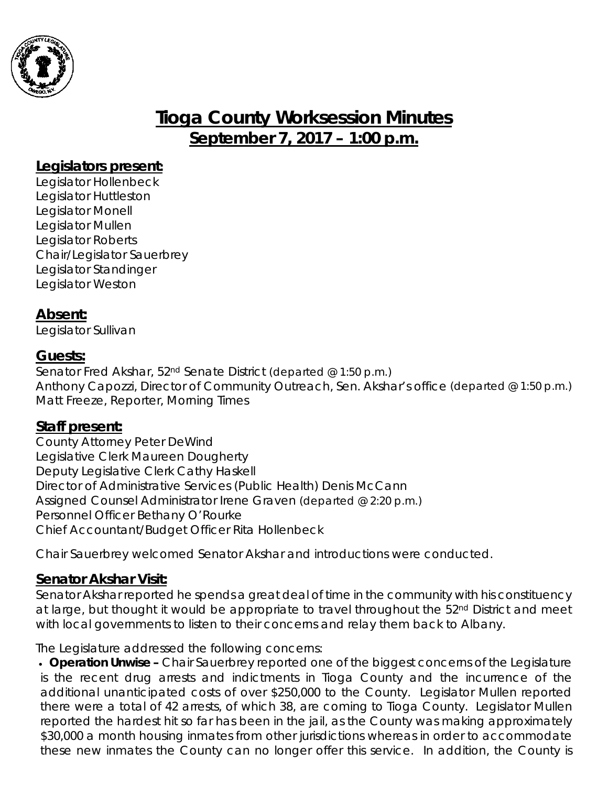

# **Tioga County Worksession Minutes September 7, 2017 – 1:00 p.m.**

# **Legislators present:**

Legislator Hollenbeck Legislator Huttleston Legislator Monell Legislator Mullen Legislator Roberts Chair/Legislator Sauerbrey Legislator Standinger Legislator Weston

# **Absent:**

Legislator Sullivan

# **Guests:**

Senator Fred Akshar, 52nd Senate District *(departed @ 1:50 p.m.)* Anthony Capozzi, Director of Community Outreach, Sen. Akshar's office *(departed @ 1:50 p.m.)* Matt Freeze, Reporter, Morning Times

#### **Staff present:**

County Attorney Peter DeWind Legislative Clerk Maureen Dougherty Deputy Legislative Clerk Cathy Haskell Director of Administrative Services (Public Health) Denis McCann Assigned Counsel Administrator Irene Graven *(departed @ 2:20 p.m.)* Personnel Officer Bethany O'Rourke Chief Accountant/Budget Officer Rita Hollenbeck

Chair Sauerbrey welcomed Senator Akshar and introductions were conducted.

# **Senator Akshar Visit:**

Senator Akshar reported he spends a great deal of time in the community with his constituency at large, but thought it would be appropriate to travel throughout the 52<sup>nd</sup> District and meet with local governments to listen to their concerns and relay them back to Albany.

The Legislature addressed the following concerns:

• *Operation Unwise –* Chair Sauerbrey reported one of the biggest concerns of the Legislature is the recent drug arrests and indictments in Tioga County and the incurrence of the additional unanticipated costs of over \$250,000 to the County. Legislator Mullen reported there were a total of 42 arrests, of which 38, are coming to Tioga County. Legislator Mullen reported the hardest hit so far has been in the jail, as the County was making approximately \$30,000 a month housing inmates from other jurisdictions whereas in order to accommodate these new inmates the County can no longer offer this service. In addition, the County is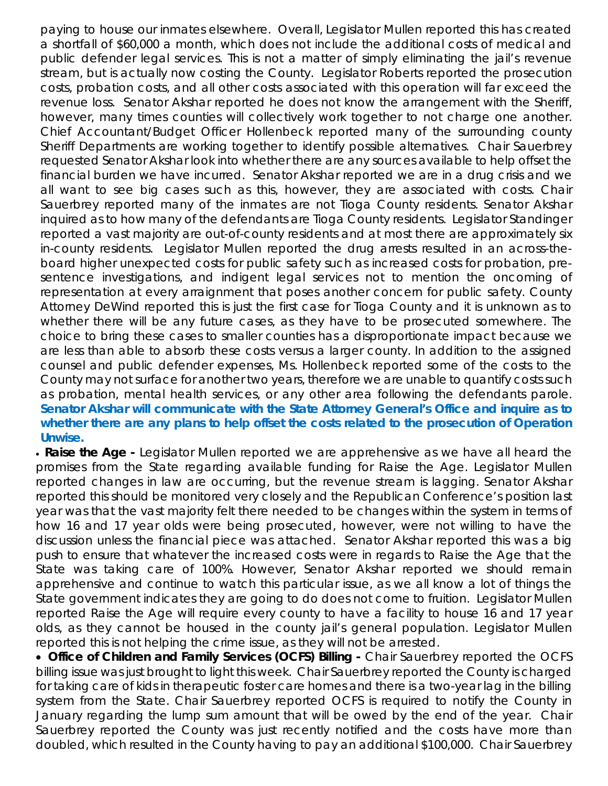paying to house our inmates elsewhere. Overall, Legislator Mullen reported this has created a shortfall of \$60,000 a month, which does not include the additional costs of medical and public defender legal services. This is not a matter of simply eliminating the jail's revenue stream, but is actually now costing the County. Legislator Roberts reported the prosecution costs, probation costs, and all other costs associated with this operation will far exceed the revenue loss. Senator Akshar reported he does not know the arrangement with the Sheriff, however, many times counties will collectively work together to not charge one another. Chief Accountant/Budget Officer Hollenbeck reported many of the surrounding county Sheriff Departments are working together to identify possible alternatives. Chair Sauerbrey requested Senator Akshar look into whether there are any sources available to help offset the financial burden we have incurred. Senator Akshar reported we are in a drug crisis and we all want to see big cases such as this, however, they are associated with costs. Chair Sauerbrey reported many of the inmates are not Tioga County residents. Senator Akshar inquired as to how many of the defendants are Tioga County residents. Legislator Standinger reported a vast majority are out-of-county residents and at most there are approximately six in-county residents. Legislator Mullen reported the drug arrests resulted in an across-theboard higher unexpected costs for public safety such as increased costs for probation, presentence investigations, and indigent legal services not to mention the oncoming of representation at every arraignment that poses another concern for public safety. County Attorney DeWind reported this is just the first case for Tioga County and it is unknown as to whether there will be any future cases, as they have to be prosecuted somewhere. The choice to bring these cases to smaller counties has a disproportionate impact because we are less than able to absorb these costs versus a larger county. In addition to the assigned counsel and public defender expenses, Ms. Hollenbeck reported some of the costs to the County may not surface for another two years, therefore we are unable to quantify costs such as probation, mental health services, or any other area following the defendants parole. *Senator Akshar will communicate with the State Attorney General's Office and inquire as to whether there are any plans to help offset the costs related to the prosecution of Operation Unwise.*

• *Raise the Age -* Legislator Mullen reported we are apprehensive as we have all heard the promises from the State regarding available funding for Raise the Age. Legislator Mullen reported changes in law are occurring, but the revenue stream is lagging. Senator Akshar reported this should be monitored very closely and the Republican Conference's position last year was that the vast majority felt there needed to be changes within the system in terms of how 16 and 17 year olds were being prosecuted, however, were not willing to have the discussion unless the financial piece was attached. Senator Akshar reported this was a big push to ensure that whatever the increased costs were in regards to Raise the Age that the State was taking care of 100%. However, Senator Akshar reported we should remain apprehensive and continue to watch this particular issue, as we all know a lot of things the State government indicates they are going to do does not come to fruition. Legislator Mullen reported Raise the Age will require every county to have a facility to house 16 and 17 year olds, as they cannot be housed in the county jail's general population. Legislator Mullen reported this is not helping the crime issue, as they will not be arrested.

• *Office of Children and Family Services (OCFS) Billing -* Chair Sauerbrey reported the OCFS billing issue was just brought to light this week. Chair Sauerbrey reported the County is charged for taking care of kids in therapeutic foster care homes and there is a two-year lag in the billing system from the State. Chair Sauerbrey reported OCFS is required to notify the County in January regarding the lump sum amount that will be owed by the end of the year. Chair Sauerbrey reported the County was just recently notified and the costs have more than doubled, which resulted in the County having to pay an additional \$100,000. Chair Sauerbrey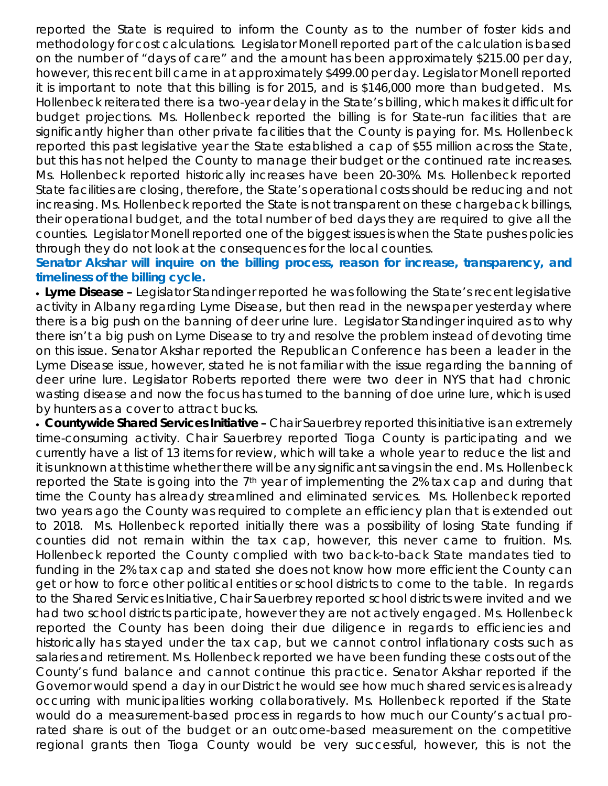reported the State is required to inform the County as to the number of foster kids and methodology for cost calculations. Legislator Monell reported part of the calculation is based on the number of "days of care" and the amount has been approximately \$215.00 per day, however, this recent bill came in at approximately \$499.00 per day. Legislator Monell reported it is important to note that this billing is for 2015, and is \$146,000 more than budgeted. Ms. Hollenbeck reiterated there is a two-year delay in the State's billing, which makes it difficult for budget projections. Ms. Hollenbeck reported the billing is for State-run facilities that are significantly higher than other private facilities that the County is paying for. Ms. Hollenbeck reported this past legislative year the State established a cap of \$55 million across the State, but this has not helped the County to manage their budget or the continued rate increases. Ms. Hollenbeck reported historically increases have been 20-30%. Ms. Hollenbeck reported State facilities are closing, therefore, the State's operational costs should be reducing and not increasing. Ms. Hollenbeck reported the State is not transparent on these chargeback billings, their operational budget, and the total number of bed days they are required to give all the counties. Legislator Monell reported one of the biggest issues is when the State pushes policies through they do not look at the consequences for the local counties.

#### *Senator Akshar will inquire on the billing process, reason for increase, transparency, and timeliness of the billing cycle.*

• *Lyme Disease –* Legislator Standinger reported he was following the State's recent legislative activity in Albany regarding Lyme Disease, but then read in the newspaper yesterday where there is a big push on the banning of deer urine lure. Legislator Standinger inquired as to why there isn't a big push on Lyme Disease to try and resolve the problem instead of devoting time on this issue. Senator Akshar reported the Republican Conference has been a leader in the Lyme Disease issue, however, stated he is not familiar with the issue regarding the banning of deer urine lure. Legislator Roberts reported there were two deer in NYS that had chronic wasting disease and now the focus has turned to the banning of doe urine lure, which is used by hunters as a cover to attract bucks.

• *Countywide Shared Services Initiative –* Chair Sauerbrey reported this initiative is an extremely time-consuming activity. Chair Sauerbrey reported Tioga County is participating and we currently have a list of 13 items for review, which will take a whole year to reduce the list and it is unknown at this time whether there will be any significant savings in the end. Ms. Hollenbeck reported the State is going into the  $7<sup>th</sup>$  year of implementing the 2% tax cap and during that time the County has already streamlined and eliminated services. Ms. Hollenbeck reported two years ago the County was required to complete an efficiency plan that is extended out to 2018. Ms. Hollenbeck reported initially there was a possibility of losing State funding if counties did not remain within the tax cap, however, this never came to fruition. Ms. Hollenbeck reported the County complied with two back-to-back State mandates tied to funding in the 2% tax cap and stated she does not know how more efficient the County can get or how to force other political entities or school districts to come to the table. In regards to the Shared Services Initiative, Chair Sauerbrey reported school districts were invited and we had two school districts participate, however they are not actively engaged. Ms. Hollenbeck reported the County has been doing their due diligence in regards to efficiencies and historically has stayed under the tax cap, but we cannot control inflationary costs such as salaries and retirement. Ms. Hollenbeck reported we have been funding these costs out of the County's fund balance and cannot continue this practice. Senator Akshar reported if the Governor would spend a day in our District he would see how much shared services is already occurring with municipalities working collaboratively. Ms. Hollenbeck reported if the State would do a measurement-based process in regards to how much our County's actual prorated share is out of the budget or an outcome-based measurement on the competitive regional grants then Tioga County would be very successful, however, this is not the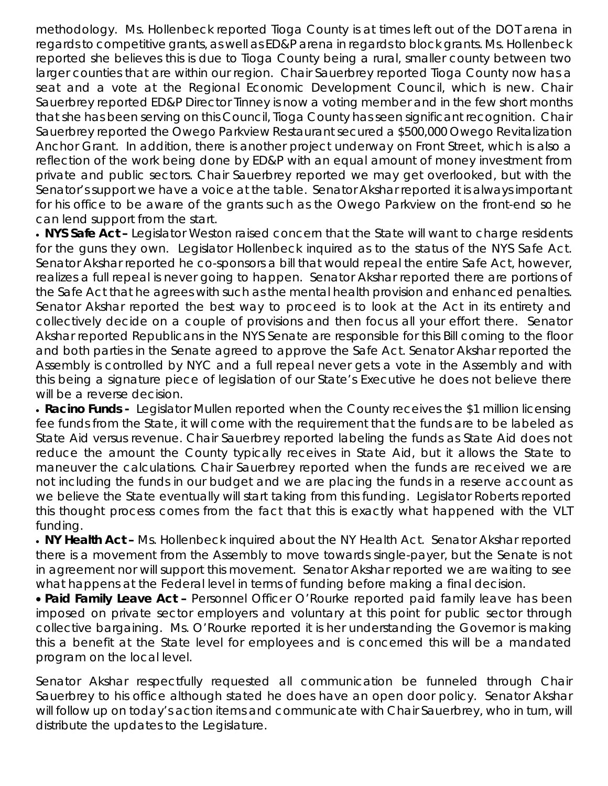methodology. Ms. Hollenbeck reported Tioga County is at times left out of the DOT arena in regards to competitive grants, as well as ED&P arena in regards to block grants. Ms. Hollenbeck reported she believes this is due to Tioga County being a rural, smaller county between two larger counties that are within our region. Chair Sauerbrey reported Tioga County now has a seat and a vote at the Regional Economic Development Council, which is new. Chair Sauerbrey reported ED&P Director Tinney is now a voting member and in the few short months that she has been serving on this Council, Tioga County has seen significant recognition. Chair Sauerbrey reported the Owego Parkview Restaurant secured a \$500,000 Owego Revitalization Anchor Grant. In addition, there is another project underway on Front Street, which is also a reflection of the work being done by ED&P with an equal amount of money investment from private and public sectors. Chair Sauerbrey reported we may get overlooked, but with the Senator's support we have a voice at the table. Senator Akshar reported it is always important for his office to be aware of the grants such as the Owego Parkview on the front-end so he can lend support from the start.

• **NYS Safe Act** – Legislator Weston raised concern that the State will want to charge residents for the guns they own. Legislator Hollenbeck inquired as to the status of the NYS Safe Act. Senator Akshar reported he co-sponsors a bill that would repeal the entire Safe Act, however, realizes a full repeal is never going to happen. Senator Akshar reported there are portions of the Safe Act that he agrees with such as the mental health provision and enhanced penalties. Senator Akshar reported the best way to proceed is to look at the Act in its entirety and collectively decide on a couple of provisions and then focus all your effort there. Senator Akshar reported Republicans in the NYS Senate are responsible for this Bill coming to the floor and both parties in the Senate agreed to approve the Safe Act. Senator Akshar reported the Assembly is controlled by NYC and a full repeal never gets a vote in the Assembly and with this being a signature piece of legislation of our State's Executive he does not believe there will be a reverse decision.

• **Racino Funds** - Legislator Mullen reported when the County receives the \$1 million licensing fee funds from the State, it will come with the requirement that the funds are to be labeled as State Aid versus revenue. Chair Sauerbrey reported labeling the funds as State Aid does not reduce the amount the County typically receives in State Aid, but it allows the State to maneuver the calculations. Chair Sauerbrey reported when the funds are received we are not including the funds in our budget and we are placing the funds in a reserve account as we believe the State eventually will start taking from this funding. Legislator Roberts reported this thought process comes from the fact that this is exactly what happened with the VLT funding.

• *NY Health Act –* Ms. Hollenbeck inquired about the NY Health Act. Senator Akshar reported there is a movement from the Assembly to move towards single-payer, but the Senate is not in agreement nor will support this movement. Senator Akshar reported we are waiting to see what happens at the Federal level in terms of funding before making a final decision.

• *Paid Family Leave Act –* Personnel Officer O'Rourke reported paid family leave has been imposed on private sector employers and voluntary at this point for public sector through collective bargaining. Ms. O'Rourke reported it is her understanding the Governor is making this a benefit at the State level for employees and is concerned this will be a mandated program on the local level.

Senator Akshar respectfully requested all communication be funneled through Chair Sauerbrey to his office although stated he does have an open door policy. Senator Akshar will follow up on today's action items and communicate with Chair Sauerbrey, who in turn, will distribute the updates to the Legislature.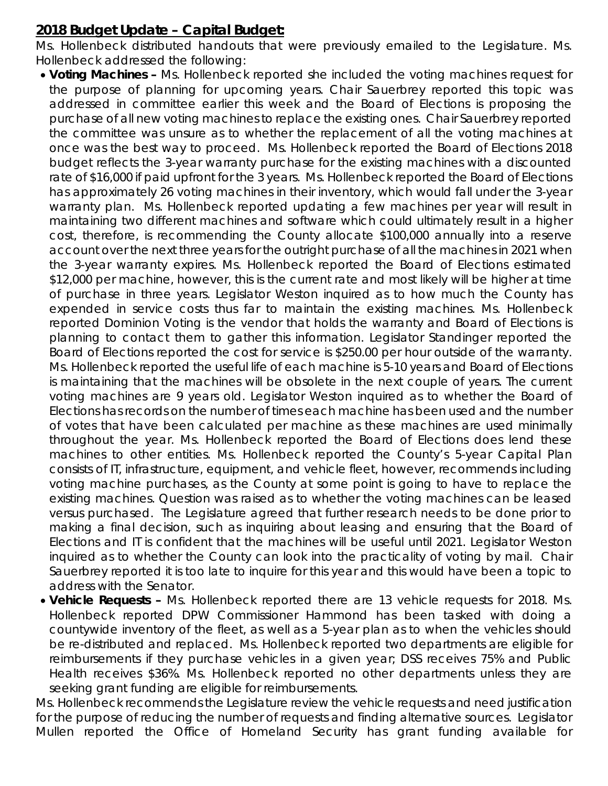# **2018 Budget Update – Capital Budget:**

Ms. Hollenbeck distributed handouts that were previously emailed to the Legislature. Ms. Hollenbeck addressed the following:

- *Voting Machines –* Ms. Hollenbeck reported she included the voting machines request for the purpose of planning for upcoming years. Chair Sauerbrey reported this topic was addressed in committee earlier this week and the Board of Elections is proposing the purchase of all new voting machines to replace the existing ones. Chair Sauerbrey reported the committee was unsure as to whether the replacement of all the voting machines at once was the best way to proceed. Ms. Hollenbeck reported the Board of Elections 2018 budget reflects the 3-year warranty purchase for the existing machines with a discounted rate of \$16,000 if paid upfront for the 3 years. Ms. Hollenbeck reported the Board of Elections has approximately 26 voting machines in their inventory, which would fall under the 3-year warranty plan. Ms. Hollenbeck reported updating a few machines per year will result in maintaining two different machines and software which could ultimately result in a higher cost, therefore, is recommending the County allocate \$100,000 annually into a reserve account over the next three years for the outright purchase of all the machines in 2021 when the 3-year warranty expires. Ms. Hollenbeck reported the Board of Elections estimated \$12,000 per machine, however, this is the current rate and most likely will be higher at time of purchase in three years. Legislator Weston inquired as to how much the County has expended in service costs thus far to maintain the existing machines. Ms. Hollenbeck reported Dominion Voting is the vendor that holds the warranty and Board of Elections is planning to contact them to gather this information. Legislator Standinger reported the Board of Elections reported the cost for service is \$250.00 per hour outside of the warranty. Ms. Hollenbeck reported the useful life of each machine is 5-10 years and Board of Elections is maintaining that the machines will be obsolete in the next couple of years. The current voting machines are 9 years old. Legislator Weston inquired as to whether the Board of Elections has records on the number of times each machine has been used and the number of votes that have been calculated per machine as these machines are used minimally throughout the year. Ms. Hollenbeck reported the Board of Elections does lend these machines to other entities. Ms. Hollenbeck reported the County's 5-year Capital Plan consists of IT, infrastructure, equipment, and vehicle fleet, however, recommends including voting machine purchases, as the County at some point is going to have to replace the existing machines. Question was raised as to whether the voting machines can be leased versus purchased. The Legislature agreed that further research needs to be done prior to making a final decision, such as inquiring about leasing and ensuring that the Board of Elections and IT is confident that the machines will be useful until 2021. Legislator Weston inquired as to whether the County can look into the practicality of voting by mail. Chair Sauerbrey reported it is too late to inquire for this year and this would have been a topic to address with the Senator.
- *Vehicle Requests –* Ms. Hollenbeck reported there are 13 vehicle requests for 2018. Ms. Hollenbeck reported DPW Commissioner Hammond has been tasked with doing a countywide inventory of the fleet, as well as a 5-year plan as to when the vehicles should be re-distributed and replaced. Ms. Hollenbeck reported two departments are eligible for reimbursements if they purchase vehicles in a given year; DSS receives 75% and Public Health receives \$36%. Ms. Hollenbeck reported no other departments unless they are seeking grant funding are eligible for reimbursements.

Ms. Hollenbeck recommends the Legislature review the vehicle requests and need justification for the purpose of reducing the number of requests and finding alternative sources. Legislator Mullen reported the Office of Homeland Security has grant funding available for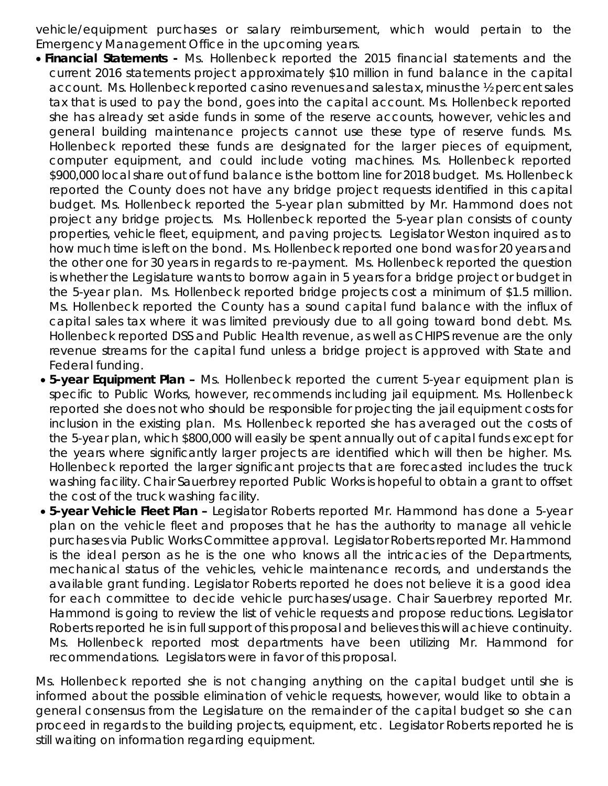vehicle/equipment purchases or salary reimbursement, which would pertain to the Emergency Management Office in the upcoming years.

- *Financial Statements -* Ms. Hollenbeck reported the 2015 financial statements and the current 2016 statements project approximately \$10 million in fund balance in the capital account. Ms. Hollenbeck reported casino revenues and sales tax, minus the ½ percent sales tax that is used to pay the bond, goes into the capital account. Ms. Hollenbeck reported she has already set aside funds in some of the reserve accounts, however, vehicles and general building maintenance projects cannot use these type of reserve funds. Ms. Hollenbeck reported these funds are designated for the larger pieces of equipment, computer equipment, and could include voting machines. Ms. Hollenbeck reported \$900,000 local share out of fund balance is the bottom line for 2018 budget. Ms. Hollenbeck reported the County does not have any bridge project requests identified in this capital budget. Ms. Hollenbeck reported the 5-year plan submitted by Mr. Hammond does not project any bridge projects. Ms. Hollenbeck reported the 5-year plan consists of county properties, vehicle fleet, equipment, and paving projects. Legislator Weston inquired as to how much time is left on the bond. Ms. Hollenbeck reported one bond was for 20 years and the other one for 30 years in regards to re-payment. Ms. Hollenbeck reported the question is whether the Legislature wants to borrow again in 5 years for a bridge project or budget in the 5-year plan. Ms. Hollenbeck reported bridge projects cost a minimum of \$1.5 million. Ms. Hollenbeck reported the County has a sound capital fund balance with the influx of capital sales tax where it was limited previously due to all going toward bond debt. Ms. Hollenbeck reported DSS and Public Health revenue, as well as CHIPS revenue are the only revenue streams for the capital fund unless a bridge project is approved with State and Federal funding.
- *5-year Equipment Plan –* Ms. Hollenbeck reported the current 5-year equipment plan is specific to Public Works, however, recommends including jail equipment. Ms. Hollenbeck reported she does not who should be responsible for projecting the jail equipment costs for inclusion in the existing plan. Ms. Hollenbeck reported she has averaged out the costs of the 5-year plan, which \$800,000 will easily be spent annually out of capital funds except for the years where significantly larger projects are identified which will then be higher. Ms. Hollenbeck reported the larger significant projects that are forecasted includes the truck washing facility. Chair Sauerbrey reported Public Works is hopeful to obtain a grant to offset the cost of the truck washing facility.
- *5-year Vehicle Fleet Plan –* Legislator Roberts reported Mr. Hammond has done a 5-year plan on the vehicle fleet and proposes that he has the authority to manage all vehicle purchases via Public Works Committee approval. Legislator Roberts reported Mr. Hammond is the ideal person as he is the one who knows all the intricacies of the Departments, mechanical status of the vehicles, vehicle maintenance records, and understands the available grant funding. Legislator Roberts reported he does not believe it is a good idea for each committee to decide vehicle purchases/usage. Chair Sauerbrey reported Mr. Hammond is going to review the list of vehicle requests and propose reductions. Legislator Roberts reported he is in full support of this proposal and believes this will achieve continuity. Ms. Hollenbeck reported most departments have been utilizing Mr. Hammond for recommendations. Legislators were in favor of this proposal.

Ms. Hollenbeck reported she is not changing anything on the capital budget until she is informed about the possible elimination of vehicle requests, however, would like to obtain a general consensus from the Legislature on the remainder of the capital budget so she can proceed in regards to the building projects, equipment, etc. Legislator Roberts reported he is still waiting on information regarding equipment.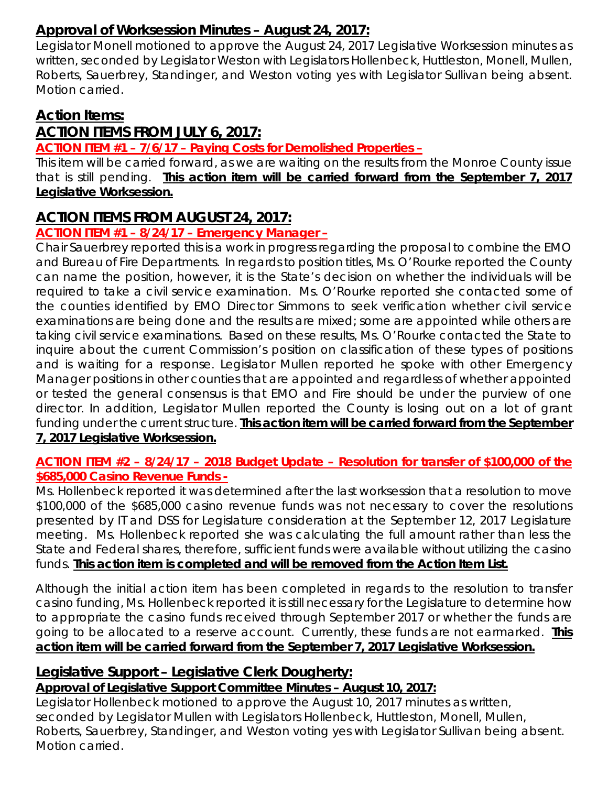# **Approval of Worksession Minutes – August 24, 2017:**

Legislator Monell motioned to approve the August 24, 2017 Legislative Worksession minutes as written, seconded by Legislator Weston with Legislators Hollenbeck, Huttleston, Monell, Mullen, Roberts, Sauerbrey, Standinger, and Weston voting yes with Legislator Sullivan being absent. Motion carried.

# **Action Items:**

# **ACTION ITEMS FROM JULY 6, 2017:**

**ACTION ITEM #1 – 7/6/17 – Paying Costs for Demolished Properties –**

This item will be carried forward, as we are waiting on the results from the Monroe County issue that is still pending. **This action item will be carried forward from the September 7, 2017 Legislative Worksession.**

# **ACTION ITEMS FROM AUGUST 24, 2017:**

# **ACTION ITEM #1 – 8/24/17 – Emergency Manager –**

Chair Sauerbrey reported this is a work in progress regarding the proposal to combine the EMO and Bureau of Fire Departments. In regards to position titles, Ms. O'Rourke reported the County can name the position, however, it is the State's decision on whether the individuals will be required to take a civil service examination. Ms. O'Rourke reported she contacted some of the counties identified by EMO Director Simmons to seek verification whether civil service examinations are being done and the results are mixed; some are appointed while others are taking civil service examinations. Based on these results, Ms. O'Rourke contacted the State to inquire about the current Commission's position on classification of these types of positions and is waiting for a response. Legislator Mullen reported he spoke with other Emergency Manager positions in other counties that are appointed and regardless of whether appointed or tested the general consensus is that EMO and Fire should be under the purview of one director. In addition, Legislator Mullen reported the County is losing out on a lot of grant funding under the current structure. **This action item will be carried forward from the September 7, 2017 Legislative Worksession.**

#### **ACTION ITEM #2 – 8/24/17 – 2018 Budget Update – Resolution for transfer of \$100,000 of the \$685,000 Casino Revenue Funds -**

Ms. Hollenbeck reported it was determined after the last worksession that a resolution to move \$100,000 of the \$685,000 casino revenue funds was not necessary to cover the resolutions presented by IT and DSS for Legislature consideration at the September 12, 2017 Legislature meeting. Ms. Hollenbeck reported she was calculating the full amount rather than less the State and Federal shares, therefore, sufficient funds were available without utilizing the casino funds. **This action item is completed and will be removed from the Action Item List.** 

Although the initial action item has been completed in regards to the resolution to transfer casino funding, Ms. Hollenbeck reported it is still necessary for the Legislature to determine how to appropriate the casino funds received through September 2017 or whether the funds are going to be allocated to a reserve account. Currently, these funds are not earmarked. **This action item will be carried forward from the September 7, 2017 Legislative Worksession.**

# **Legislative Support – Legislative Clerk Dougherty:**

# *Approval of Legislative Support Committee Minutes – August 10, 2017:*

Legislator Hollenbeck motioned to approve the August 10, 2017 minutes as written, seconded by Legislator Mullen with Legislators Hollenbeck, Huttleston, Monell, Mullen, Roberts, Sauerbrey, Standinger, and Weston voting yes with Legislator Sullivan being absent. Motion carried.